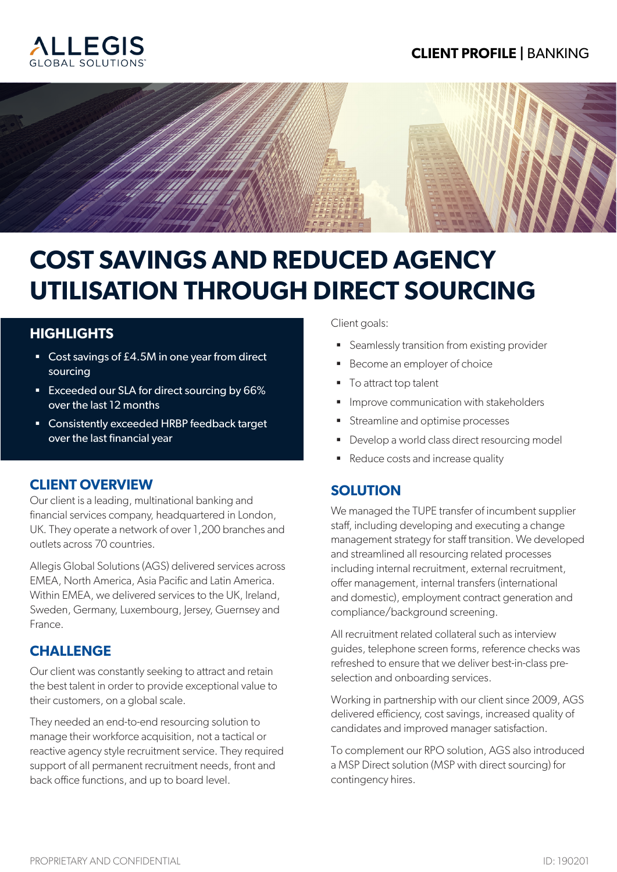## **CLIENT PROFILE |** BANKING





# **COST SAVINGS AND REDUCED AGENCY UTILISATION THROUGH DIRECT SOURCING**

#### **HIGHLIGHTS**

- Cost savings of £4.5M in one year from direct sourcing
- Exceeded our SLA for direct sourcing by 66% over the last 12 months
- Consistently exceeded HRBP feedback target over the last financial year

#### **CLIENT OVERVIEW**

Our client is a leading, multinational banking and financial services company, headquartered in London, UK. They operate a network of over 1,200 branches and outlets across 70 countries.

Allegis Global Solutions (AGS) delivered services across EMEA, North America, Asia Pacific and Latin America. Within EMEA, we delivered services to the UK, Ireland, Sweden, Germany, Luxembourg, Jersey, Guernsey and France.

#### **CHALLENGE**

Our client was constantly seeking to attract and retain the best talent in order to provide exceptional value to their customers, on a global scale.

They needed an end-to-end resourcing solution to manage their workforce acquisition, not a tactical or reactive agency style recruitment service. They required support of all permanent recruitment needs, front and back office functions, and up to board level.

Client goals:

- Seamlessly transition from existing provider
- Become an employer of choice
- To attract top talent
- **Improve communication with stakeholders**
- Streamline and optimise processes
- Develop a world class direct resourcing model
- Reduce costs and increase quality

#### **SOLUTION**

We managed the TUPE transfer of incumbent supplier staff, including developing and executing a change management strategy for staff transition. We developed and streamlined all resourcing related processes including internal recruitment, external recruitment, offer management, internal transfers (international and domestic), employment contract generation and compliance/background screening.

All recruitment related collateral such as interview guides, telephone screen forms, reference checks was refreshed to ensure that we deliver best-in-class preselection and onboarding services.

Working in partnership with our client since 2009, AGS delivered efficiency, cost savings, increased quality of candidates and improved manager satisfaction.

To complement our RPO solution, AGS also introduced a MSP Direct solution (MSP with direct sourcing) for contingency hires.